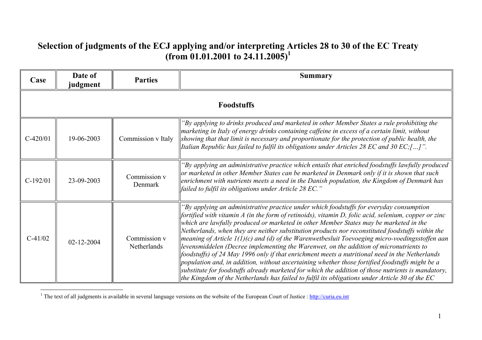## **Selection of judgments of the ECJ applying and/or interpreting Articles 28 to 30 of the EC Treaty (from 01.01.2001 to 24.11.2005)<sup>1</sup>**

| Case       | Date of<br>judgment | <b>Parties</b>              | <b>Summary</b>                                                                                                                                                                                                                                                                                                                                                                                                                                                                                                                                                                                                                                                                                                                                                                                                                                                                                                                                                                                                 |  |
|------------|---------------------|-----------------------------|----------------------------------------------------------------------------------------------------------------------------------------------------------------------------------------------------------------------------------------------------------------------------------------------------------------------------------------------------------------------------------------------------------------------------------------------------------------------------------------------------------------------------------------------------------------------------------------------------------------------------------------------------------------------------------------------------------------------------------------------------------------------------------------------------------------------------------------------------------------------------------------------------------------------------------------------------------------------------------------------------------------|--|
|            | <b>Foodstuffs</b>   |                             |                                                                                                                                                                                                                                                                                                                                                                                                                                                                                                                                                                                                                                                                                                                                                                                                                                                                                                                                                                                                                |  |
| $C-420/01$ | 19-06-2003          | Commission v Italy          | "By applying to drinks produced and marketed in other Member States a rule prohibiting the<br>marketing in Italy of energy drinks containing caffeine in excess of a certain limit, without<br>showing that that limit is necessary and proportionate for the protection of public health, the<br>Italian Republic has failed to fulfil its obligations under Articles 28 EC and 30 EC; []".                                                                                                                                                                                                                                                                                                                                                                                                                                                                                                                                                                                                                   |  |
| $C-192/01$ | 23-09-2003          | Commission v<br>Denmark     | "By applying an administrative practice which entails that enriched foodstuffs lawfully produced<br>or marketed in other Member States can be marketed in Denmark only if it is shown that such<br>enrichment with nutrients meets a need in the Danish population, the Kingdom of Denmark has<br>failed to fulfil its obligations under Article 28 EC."                                                                                                                                                                                                                                                                                                                                                                                                                                                                                                                                                                                                                                                       |  |
| $C-41/02$  | 02-12-2004          | Commission v<br>Netherlands | "By applying an administrative practice under which foodstuffs for everyday consumption<br>$\int$ fortified with vitamin A (in the form of retinoids), vitamin D, folic acid, selenium, copper or zinc<br>which are lawfully produced or marketed in other Member States may be marketed in the<br>Netherlands, when they are neither substitution products nor reconstituted foodstuffs within the<br>meaning of Article $I(1)(c)$ and (d) of the Warenwetbesluit Toevoeging micro-voedingsstoffen aan<br>levensmiddelen (Decree implementing the Warenwet, on the addition of micronutrients to<br>foodstuffs) of 24 May 1996 only if that enrichment meets a nutritional need in the Netherlands<br>population and, in addition, without ascertaining whether those fortified foodstuffs might be a<br>substitute for foodstuffs already marketed for which the addition of those nutrients is mandatory,<br>the Kingdom of the Netherlands has failed to fulfil its obligations under Article 30 of the EC |  |

<sup>1</sup> The text of all judgments is available in several language versions on the website of the European Court of Justice :  $\frac{http://curia.eu.int}{http://curia.eu.int}$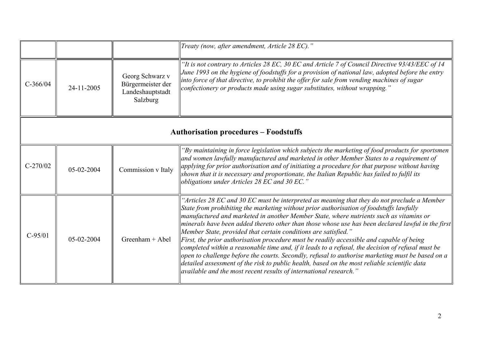|            |                                              |                                                                      | Treaty (now, after amendment, Article 28 EC)."                                                                                                                                                                                                                                                                                                                                                                                                                                                                                                                                                                                                                                                                                                                                                                                                                                                                                                                          |  |  |
|------------|----------------------------------------------|----------------------------------------------------------------------|-------------------------------------------------------------------------------------------------------------------------------------------------------------------------------------------------------------------------------------------------------------------------------------------------------------------------------------------------------------------------------------------------------------------------------------------------------------------------------------------------------------------------------------------------------------------------------------------------------------------------------------------------------------------------------------------------------------------------------------------------------------------------------------------------------------------------------------------------------------------------------------------------------------------------------------------------------------------------|--|--|
| $C-366/04$ | 24-11-2005                                   | Georg Schwarz v<br>Bürgermeister der<br>Landeshauptstadt<br>Salzburg | "It is not contrary to Articles 28 EC, 30 EC and Article 7 of Council Directive 93/43/EEC of 14<br>June 1993 on the hygiene of foodstuffs for a provision of national law, adopted before the entry<br>$\parallel$ into force of that directive, to prohibit the offer for sale from vending machines of sugar<br>confectionery or products made using sugar substitutes, without wrapping."                                                                                                                                                                                                                                                                                                                                                                                                                                                                                                                                                                            |  |  |
|            | <b>Authorisation procedures - Foodstuffs</b> |                                                                      |                                                                                                                                                                                                                                                                                                                                                                                                                                                                                                                                                                                                                                                                                                                                                                                                                                                                                                                                                                         |  |  |
| $C-270/02$ | 05-02-2004                                   | Commission v Italy                                                   | "By maintaining in force legislation which subjects the marketing of food products for sportsmen<br>$\alpha$ and women lawfully manufactured and marketed in other Member States to a requirement of<br>$\ $ applying for prior authorisation and of initiating a procedure for that purpose without having<br>shown that it is necessary and proportionate, the Italian Republic has failed to fulfil its<br>obligations under Articles 28 EC and 30 EC."                                                                                                                                                                                                                                                                                                                                                                                                                                                                                                              |  |  |
| $C-95/01$  | $05-02-2004$                                 | Greenham $+$ Abel                                                    | "Articles 28 EC and 30 EC must be interpreted as meaning that they do not preclude a Member<br>State from prohibiting the marketing without prior authorisation of foodstuffs lawfully<br>manufactured and marketed in another Member State, where nutrients such as vitamins or<br>$\vert$ minerals have been added thereto other than those whose use has been declared lawful in the first<br>Member State, provided that certain conditions are satisfied."<br><i>First, the prior authorisation procedure must be readily accessible and capable of being</i><br>completed within a reasonable time and, if it leads to a refusal, the decision of refusal must be<br>$\alpha$   open to challenge before the courts. Secondly, refusal to authorise marketing must be based on a<br>detailed assessment of the risk to public health, based on the most reliable scientific data<br>$\parallel$ available and the most recent results of international research." |  |  |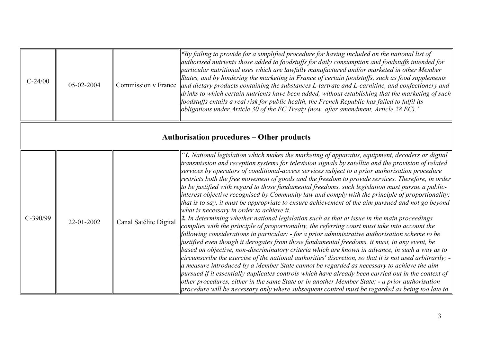| $C-24/00$  | 05-02-2004                                |                        | "By failing to provide for a simplified procedure for having included on the national list of<br>authorised nutrients those added to foodstuffs for daily consumption and foodstuffs intended for<br>$ $ particular nutritional uses which are lawfully manufactured and/or marketed in other Member<br>States, and by hindering the marketing in France of certain foodstuffs, such as food supplements<br>Commission v France   and dietary products containing the substances L-tartrate and L-carnitine, and confectionery and  <br>$\vert$ drinks to which certain nutrients have been added, without establishing that the marketing of such<br>$\parallel$ foodstuffs entails a real risk for public health, the French Republic has failed to fulfil its<br>obligations under Article 30 of the EC Treaty (now, after amendment, Article 28 EC)."                                                                                                                                                                                                                                                                                                                                                                                                                                                                                                                                                                                                                                                                                                                                                                                                                                                                                                                                                                                                                           |  |  |
|------------|-------------------------------------------|------------------------|-------------------------------------------------------------------------------------------------------------------------------------------------------------------------------------------------------------------------------------------------------------------------------------------------------------------------------------------------------------------------------------------------------------------------------------------------------------------------------------------------------------------------------------------------------------------------------------------------------------------------------------------------------------------------------------------------------------------------------------------------------------------------------------------------------------------------------------------------------------------------------------------------------------------------------------------------------------------------------------------------------------------------------------------------------------------------------------------------------------------------------------------------------------------------------------------------------------------------------------------------------------------------------------------------------------------------------------------------------------------------------------------------------------------------------------------------------------------------------------------------------------------------------------------------------------------------------------------------------------------------------------------------------------------------------------------------------------------------------------------------------------------------------------------------------------------------------------------------------------------------------------|--|--|
|            | Authorisation procedures – Other products |                        |                                                                                                                                                                                                                                                                                                                                                                                                                                                                                                                                                                                                                                                                                                                                                                                                                                                                                                                                                                                                                                                                                                                                                                                                                                                                                                                                                                                                                                                                                                                                                                                                                                                                                                                                                                                                                                                                                     |  |  |
| $C-390/99$ | 22-01-2002                                | Canal Satélite Digital | '1. National legislation which makes the marketing of apparatus, equipment, decoders or digital<br>transmission and reception systems for television signals by satellite and the provision of related<br>services by operators of conditional-access services subject to a prior authorisation procedure<br>restricts both the free movement of goods and the freedom to provide services. Therefore, in order<br>$\parallel$ to be justified with regard to those fundamental freedoms, such legislation must pursue a public-<br>$\parallel$ interest objective recognised by Community law and comply with the principle of proportionality;<br>that is to say, it must be appropriate to ensure achievement of the aim pursued and not go beyond<br>what is necessary in order to achieve it.<br>$\ 2.$ In determining whether national legislation such as that at issue in the main proceedings<br>complies with the principle of proportionality, the referring court must take into account the<br>$\left $ following considerations in particular: $\overline{\ }$ -for a prior administrative authorisation scheme to be<br>  justified even though it derogates from those fundamental freedoms, it must, in any event, be<br>based on objective, non-discriminatory criteria which are known in advance, in such a way as to<br>circumscribe the exercise of the national authorities' discretion, so that it is not used arbitrarily; -<br>$\ $ a measure introduced by a Member State cannot be regarded as necessary to achieve the aim<br>$ $ pursued if it essentially duplicates controls which have already been carried out in the context of<br>other procedures, either in the same State or in another Member State; - a prior authorisation<br>$\parallel$ procedure will be necessary only where subsequent control must be regarded as being too late to |  |  |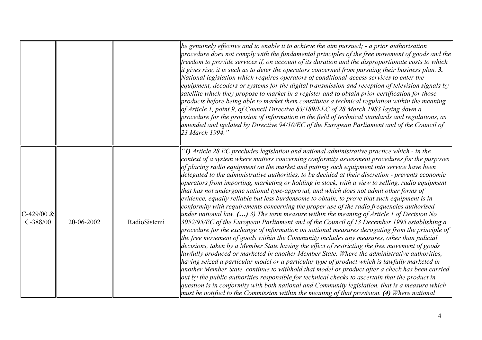|                             |            |              | be genuinely effective and to enable it to achieve the aim pursued; $\text{-}$ a prior authorisation<br>$ procedure$ does not comply with the fundamental principles of the free movement of goods and the<br>freedom to provide services if, on account of its duration and the disproportionate costs to which<br>it gives rise, it is such as to deter the operators concerned from pursuing their business plan. 3.<br>National legislation which requires operators of conditional-access services to enter the<br>equipment, decoders or systems for the digital transmission and reception of television signals by<br>satellite which they propose to market in a register and to obtain prior certification for those<br>products before being able to market them constitutes a technical regulation within the meaning<br>of Article 1, point 9, of Council Directive 83/189/EEC of 28 March 1983 laying down a<br>procedure for the provision of information in the field of technical standards and regulations, as<br>amended and updated by Directive $94/10$ /EC of the European Parliament and of the Council of<br>23 March 1994."                                                                                                                                                                                                                                                                                                                                                                                                                                                                                                                                                                                                                                                                                                                                                                |
|-----------------------------|------------|--------------|---------------------------------------------------------------------------------------------------------------------------------------------------------------------------------------------------------------------------------------------------------------------------------------------------------------------------------------------------------------------------------------------------------------------------------------------------------------------------------------------------------------------------------------------------------------------------------------------------------------------------------------------------------------------------------------------------------------------------------------------------------------------------------------------------------------------------------------------------------------------------------------------------------------------------------------------------------------------------------------------------------------------------------------------------------------------------------------------------------------------------------------------------------------------------------------------------------------------------------------------------------------------------------------------------------------------------------------------------------------------------------------------------------------------------------------------------------------------------------------------------------------------------------------------------------------------------------------------------------------------------------------------------------------------------------------------------------------------------------------------------------------------------------------------------------------------------------------------------------------------------------------------------------------------|
| $C-429/00 \&$<br>$C-388/00$ | 20-06-2002 | RadioSistemi | "1) Article 28 EC precludes legislation and national administrative practice which - in the<br>context of a system where matters concerning conformity assessment procedures for the purposes<br>of placing radio equipment on the market and putting such equipment into service have been<br>delegated to the administrative authorities, to be decided at their discretion - prevents economic<br>operators from importing, marketing or holding in stock, with a view to selling, radio equipment<br>that has not undergone national type-approval, and which does not admit other forms of<br>evidence, equally reliable but less burdensome to obtain, to prove that such equipment is in<br>conformity with requirements concerning the proper use of the radio frequencies authorised<br>under national law. $()$ 3) The term measure within the meaning of Article 1 of Decision No<br>$ 3052/95/EC$ of the European Parliament and of the Council of 13 December 1995 establishing a<br>procedure for the exchange of information on national measures derogating from the principle of<br>the free movement of goods within the Community includes any measures, other than judicial<br>decisions, taken by a Member State having the effect of restricting the free movement of goods<br>lawfully produced or marketed in another Member State. Where the administrative authorities,<br>having seized a particular model or a particular type of product which is lawfully marketed in<br>another Member State, continue to withhold that model or product after a check has been carried<br>out by the public authorities responsible for technical checks to ascertain that the product in<br>question is in conformity with both national and Community legislation, that is a measure which<br>$\vert$ must be notified to the Commission within the meaning of that provision. (4) Where national |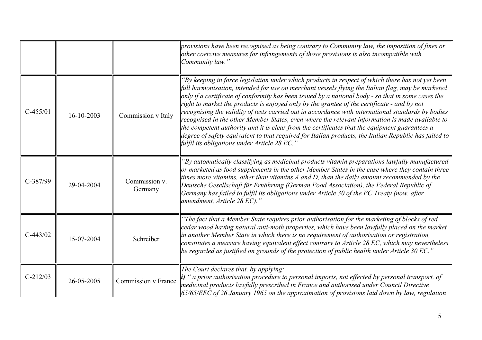|            |            |                          | provisions have been recognised as being contrary to Community law, the imposition of fines or<br>other coercive measures for infringements of those provisions is also incompatible with<br>Community law."                                                                                                                                                                                                                                                                                                                                                                                                                                                                                                                                                                                                                                                                  |
|------------|------------|--------------------------|-------------------------------------------------------------------------------------------------------------------------------------------------------------------------------------------------------------------------------------------------------------------------------------------------------------------------------------------------------------------------------------------------------------------------------------------------------------------------------------------------------------------------------------------------------------------------------------------------------------------------------------------------------------------------------------------------------------------------------------------------------------------------------------------------------------------------------------------------------------------------------|
| $C-455/01$ | 16-10-2003 | Commission v Italy       | "By keeping in force legislation under which products in respect of which there has not yet been<br>full harmonisation, intended for use on merchant vessels flying the Italian flag, may be marketed<br>only if a certificate of conformity has been issued by a national body - so that in some cases the<br>right to market the products is enjoyed only by the grantee of the certificate - and by not<br>recognising the validity of tests carried out in accordance with international standards by bodies<br>recognised in the other Member States, even where the relevant information is made available to<br>the competent authority and it is clear from the certificates that the equipment guarantees a<br>degree of safety equivalent to that required for Italian products, the Italian Republic has failed to<br>fulfil its obligations under Article 28 EC.' |
| $C-387/99$ | 29-04-2004 | Commission v.<br>Germany | "By automatically classifying as medicinal products vitamin preparations lawfully manufactured<br>or marketed as food supplements in the other Member States in the case where they contain three<br>times more vitamins, other than vitamins A and D, than the daily amount recommended by the<br>Deutsche Gesellschaft für Ernährung (German Food Association), the Federal Republic of<br>Germany has failed to fulfil its obligations under Article 30 of the EC Treaty (now, after<br>amendment, Article 28 EC)."                                                                                                                                                                                                                                                                                                                                                        |
| $C-443/02$ | 15-07-2004 | Schreiber                | "The fact that a Member State requires prior authorisation for the marketing of blocks of red<br>cedar wood having natural anti-moth properties, which have been lawfully placed on the market<br>in another Member State in which there is no requirement of authorisation or registration,<br>constitutes a measure having equivalent effect contrary to Article 28 EC, which may nevertheless<br>be regarded as justified on grounds of the protection of public health under Article 30 EC."                                                                                                                                                                                                                                                                                                                                                                              |
| $C-212/03$ | 26-05-2005 | Commission v France      | The Court declares that, by applying:<br>$\mathbf{i}$ ) " a prior authorisation procedure to personal imports, not effected by personal transport, of<br>medicinal products lawfully prescribed in France and authorised under Council Directive<br>$65/65/EEC$ of 26 January 1965 on the approximation of provisions laid down by law, regulation                                                                                                                                                                                                                                                                                                                                                                                                                                                                                                                            |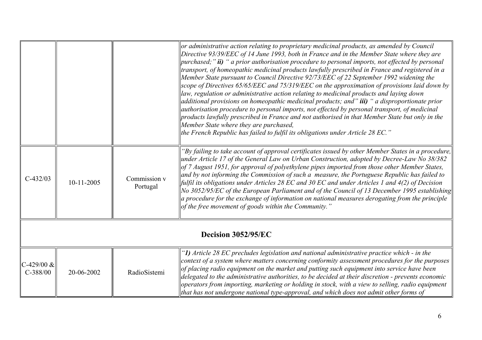|                             |              |                          | or administrative action relating to proprietary medicinal products, as amended by Council<br>Directive 93/39/EEC of 14 June 1993, both in France and in the Member State where they are<br>$ purehased; "ii)$ " a prior authorisation procedure to personal imports, not effected by personal<br>transport, of homeopathic medicinal products lawfully prescribed in France and registered in a<br>Member State pursuant to Council Directive 92/73/EEC of 22 September 1992 widening the<br>scope of Directives 65/65/EEC and 75/319/EEC on the approximation of provisions laid down by<br>law, regulation or administrative action relating to medicinal products and laying down                                                                                 |  |
|-----------------------------|--------------|--------------------------|-----------------------------------------------------------------------------------------------------------------------------------------------------------------------------------------------------------------------------------------------------------------------------------------------------------------------------------------------------------------------------------------------------------------------------------------------------------------------------------------------------------------------------------------------------------------------------------------------------------------------------------------------------------------------------------------------------------------------------------------------------------------------|--|
|                             |              |                          | additional provisions on homeopathic medicinal products; and" <b>iii)</b> " a disproportionate prior<br>authorisation procedure to personal imports, not effected by personal transport, of medicinal<br>products lawfully prescribed in France and not authorised in that Member State but only in the<br>Member State where they are purchased,<br>the French Republic has failed to fulfil its obligations under Article 28 EC."                                                                                                                                                                                                                                                                                                                                   |  |
| $C-432/03$                  | $10-11-2005$ | Commission v<br>Portugal | "By failing to take account of approval certificates issued by other Member States in a procedure,<br>under Article 17 of the General Law on Urban Construction, adopted by Decree-Law No 38/382<br>of 7 August 1951, for approval of polyethylene pipes imported from those other Member States,<br>and by not informing the Commission of such a measure, the Portuguese Republic has failed to<br>fulfil its obligations under Articles 28 EC and 30 EC and under Articles 1 and $4(2)$ of Decision<br>No 3052/95/EC of the European Parliament and of the Council of 13 December 1995 establishing<br>$ a\> procedure$ for the exchange of information on national measures derogating from the principle<br>of the free movement of goods within the Community." |  |
| Decision 3052/95/EC         |              |                          |                                                                                                                                                                                                                                                                                                                                                                                                                                                                                                                                                                                                                                                                                                                                                                       |  |
| $C-429/00 \&$<br>$C-388/00$ | 20-06-2002   | RadioSistemi             | "1) Article 28 EC precludes legislation and national administrative practice which - in the<br>context of a system where matters concerning conformity assessment procedures for the purposes<br>of placing radio equipment on the market and putting such equipment into service have been<br>delegated to the administrative authorities, to be decided at their discretion - prevents economic<br>operators from importing, marketing or holding in stock, with a view to selling, radio equipment<br>that has not undergone national type-approval, and which does not admit other forms of                                                                                                                                                                       |  |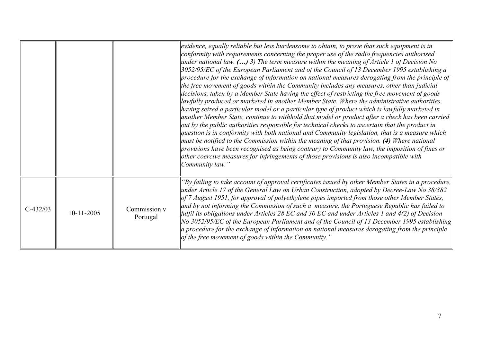|            |              |                          | evidence, equally reliable but less burdensome to obtain, to prove that such equipment is in<br>conformity with requirements concerning the proper use of the radio frequencies authorised<br>under national law. $()$ 3) The term measure within the meaning of Article 1 of Decision No<br>$\parallel$ 3052/95/EC of the European Parliament and of the Council of 13 December 1995 establishing a<br>$\parallel$ procedure for the exchange of information on national measures derogating from the principle of<br>the free movement of goods within the Community includes any measures, other than judicial<br>decisions, taken by a Member State having the effect of restricting the free movement of goods<br>  lawfully produced or marketed in another Member State. Where the administrative authorities,<br>$\parallel$ having seized a particular model or a particular type of product which is lawfully marketed in<br>another Member State, continue to withhold that model or product after a check has been carried<br>$\parallel$ out by the public authorities responsible for technical checks to ascertain that the product in<br>$\alpha$ question is in conformity with both national and Community legislation, that is a measure which<br>must be notified to the Commission within the meaning of that provision. $(4)$ Where national<br>$\parallel$ provisions have been recognised as being contrary to Community law, the imposition of fines or<br>other coercive measures for infringements of those provisions is also incompatible with<br>Community law." |
|------------|--------------|--------------------------|------------------------------------------------------------------------------------------------------------------------------------------------------------------------------------------------------------------------------------------------------------------------------------------------------------------------------------------------------------------------------------------------------------------------------------------------------------------------------------------------------------------------------------------------------------------------------------------------------------------------------------------------------------------------------------------------------------------------------------------------------------------------------------------------------------------------------------------------------------------------------------------------------------------------------------------------------------------------------------------------------------------------------------------------------------------------------------------------------------------------------------------------------------------------------------------------------------------------------------------------------------------------------------------------------------------------------------------------------------------------------------------------------------------------------------------------------------------------------------------------------------------------------------------------------------------------------------------------|
| $C-432/03$ | $10-11-2005$ | Commission v<br>Portugal | "By failing to take account of approval certificates issued by other Member States in a procedure,<br>under Article 17 of the General Law on Urban Construction, adopted by Decree-Law No 38/382<br>$\log$ 7 August 1951, for approval of polyethylene pipes imported from those other Member States,<br>and by not informing the Commission of such a measure, the Portuguese Republic has failed to<br>  fulfil its obligations under Articles 28 EC and 30 EC and under Articles 1 and $4(2)$ of Decision<br>No 3052/95/EC of the European Parliament and of the Council of 13 December 1995 establishing<br>$\ $ a procedure for the exchange of information on national measures derogating from the principle<br>of the free movement of goods within the Community."                                                                                                                                                                                                                                                                                                                                                                                                                                                                                                                                                                                                                                                                                                                                                                                                                    |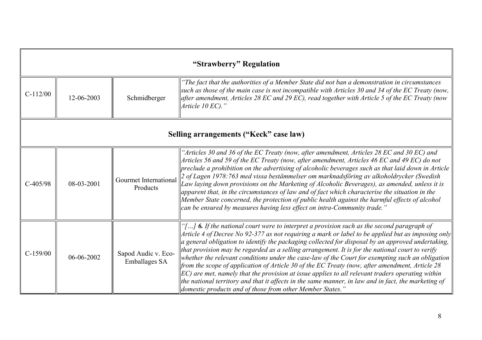|            | "Strawberry" Regulation                |                                             |                                                                                                                                                                                                                                                                                                                                                                                                                                                                                                                                                                                                                                                                                                                                                                                                                                                                                          |  |
|------------|----------------------------------------|---------------------------------------------|------------------------------------------------------------------------------------------------------------------------------------------------------------------------------------------------------------------------------------------------------------------------------------------------------------------------------------------------------------------------------------------------------------------------------------------------------------------------------------------------------------------------------------------------------------------------------------------------------------------------------------------------------------------------------------------------------------------------------------------------------------------------------------------------------------------------------------------------------------------------------------------|--|
| $C-112/00$ | 12-06-2003                             | Schmidberger                                | "The fact that the authorities of a Member State did not ban a demonstration in circumstances<br>such as those of the main case is not incompatible with Articles 30 and 34 of the EC Treaty (now,<br>after amendment, Articles 28 EC and 29 EC), read together with Article 5 of the EC Treaty (now<br><i>Article 10 EC).</i> "                                                                                                                                                                                                                                                                                                                                                                                                                                                                                                                                                         |  |
|            | Selling arrangements ("Keck" case law) |                                             |                                                                                                                                                                                                                                                                                                                                                                                                                                                                                                                                                                                                                                                                                                                                                                                                                                                                                          |  |
| $C-405/98$ | 08-03-2001                             | Gourmet International<br>Products           | "Articles 30 and 36 of the EC Treaty (now, after amendment, Articles $28$ EC and 30 EC) and<br>Articles 56 and 59 of the EC Treaty (now, after amendment, Articles 46 EC and 49 EC) do not<br>preclude a prohibition on the advertising of alcoholic beverages such as that laid down in Article<br>2 of Lagen 1978:763 med vissa bestämmelser om marknadsföring av alkoholdrycker (Swedish<br>Law laying down provisions on the Marketing of Alcoholic Beverages), as amended, unless it is<br>apparent that, in the circumstances of law and of fact which characterise the situation in the<br>Member State concerned, the protection of public health against the harmful effects of alcohol<br>can be ensured by measures having less effect on intra-Community trade.'                                                                                                             |  |
| $C-159/00$ | 06-06-2002                             | Sapod Audic v. Eco-<br><b>Emballages SA</b> | "[] 6. If the national court were to interpret a provision such as the second paragraph of<br>Article 4 of Decree No 92-377 as not requiring a mark or label to be applied but as imposing only<br>a general obligation to identify the packaging collected for disposal by an approved undertaking,<br>that provision may be regarded as a selling arrangement. It is for the national court to verify<br>whether the relevant conditions under the case-law of the Court for exempting such an obligation<br>from the scope of application of Article 30 of the EC Treaty (now, after amendment, Article 28<br>$ EC $ are met, namely that the provision at issue applies to all relevant traders operating within<br>the national territory and that it affects in the same manner, in law and in fact, the marketing of<br>domestic products and of those from other Member States." |  |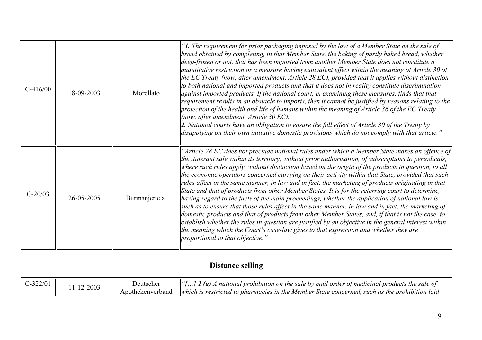| $C-416/00$ | 18-09-2003              | Morellato                     | "1. The requirement for prior packaging imposed by the law of a Member State on the sale of<br>bread obtained by completing, in that Member State, the baking of partly baked bread, whether<br>deep-frozen or not, that has been imported from another Member State does not constitute a<br>quantitative restriction or a measure having equivalent effect within the meaning of Article 30 of<br>the EC Treaty (now, after amendment, Article 28 EC), provided that it applies without distinction<br>to both national and imported products and that it does not in reality constitute discrimination<br>against imported products. If the national court, in examining these measures, finds that that<br>requirement results in an obstacle to imports, then it cannot be justified by reasons relating to the<br>protection of the health and life of humans within the meaning of Article 36 of the EC Treaty<br>(now, after amendment, Article 30 EC).<br>2. National courts have an obligation to ensure the full effect of Article 30 of the Treaty by<br>disapplying on their own initiative domestic provisions which do not comply with that article."            |  |
|------------|-------------------------|-------------------------------|---------------------------------------------------------------------------------------------------------------------------------------------------------------------------------------------------------------------------------------------------------------------------------------------------------------------------------------------------------------------------------------------------------------------------------------------------------------------------------------------------------------------------------------------------------------------------------------------------------------------------------------------------------------------------------------------------------------------------------------------------------------------------------------------------------------------------------------------------------------------------------------------------------------------------------------------------------------------------------------------------------------------------------------------------------------------------------------------------------------------------------------------------------------------------------|--|
| $C-20/03$  | 26-05-2005              | Burmanjer e.a.                | "Article 28 EC does not preclude national rules under which a Member State makes an offence of<br>the itinerant sale within its territory, without prior authorisation, of subscriptions to periodicals,<br>where such rules apply, without distinction based on the origin of the products in question, to all<br>the economic operators concerned carrying on their activity within that State, provided that such<br>rules affect in the same manner, in law and in fact, the marketing of products originating in that<br>State and that of products from other Member States. It is for the referring court to determine,<br>having regard to the facts of the main proceedings, whether the application of national law is<br>such as to ensure that those rules affect in the same manner, in law and in fact, the marketing of<br>domestic products and that of products from other Member States, and, if that is not the case, to<br>establish whether the rules in question are justified by an objective in the general interest within<br>the meaning which the Court's case-law gives to that expression and whether they are<br>proportional to that objective." |  |
|            | <b>Distance selling</b> |                               |                                                                                                                                                                                                                                                                                                                                                                                                                                                                                                                                                                                                                                                                                                                                                                                                                                                                                                                                                                                                                                                                                                                                                                                 |  |
| $C-322/01$ | $11 - 12 - 2003$        | Deutscher<br>Apothekenverband | "[] $\mathbf{1}$ (a) A national prohibition on the sale by mail order of medicinal products the sale of<br>which is restricted to pharmacies in the Member State concerned, such as the prohibition laid                                                                                                                                                                                                                                                                                                                                                                                                                                                                                                                                                                                                                                                                                                                                                                                                                                                                                                                                                                        |  |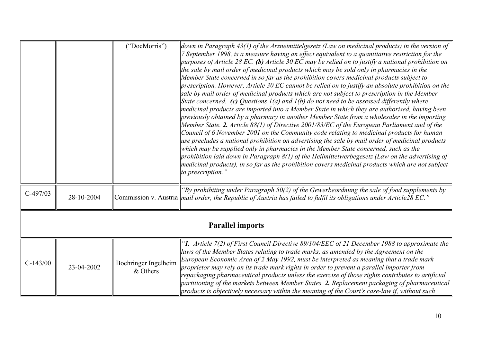|                         |            | ("DocMorris")                    | down in Paragraph 43(1) of the Arzneimittelgesetz (Law on medicinal products) in the version of<br>7 September 1998, is a measure having an effect equivalent to a quantitative restriction for the<br>  purposes of Article 28 EC. (b) Article 30 EC may be relied on to justify a national prohibition on<br>the sale by mail order of medicinal products which may be sold only in pharmacies in the<br>Member State concerned in so far as the prohibition covers medicinal products subject to<br>$\parallel$ prescription. However, Article 30 EC cannot be relied on to justify an absolute prohibition on the<br>sale by mail order of medicinal products which are not subject to prescription in the Member<br>State concerned. (c) Questions $I(a)$ and $I(b)$ do not need to be assessed differently where<br>$\parallel$ medicinal products are imported into a Member State in which they are authorised, having been<br>$\parallel$ previously obtained by a pharmacy in another Member State from a wholesaler in the importing<br>Member State. 2. Article $88(1)$ of Directive 2001/83/EC of the European Parliament and of the<br>Council of 6 November 2001 on the Community code relating to medicinal products for human<br>$\parallel$ use precludes a national prohibition on advertising the sale by mail order of medicinal products<br>$\parallel$ which may be supplied only in pharmacies in the Member State concerned, such as the<br>prohibition laid down in Paragraph $8(1)$ of the Heilmittelwerbegesetz (Law on the advertising of<br>$\parallel$ medicinal products), in so far as the prohibition covers medicinal products which are not subject<br>$\ $ to prescription." |  |
|-------------------------|------------|----------------------------------|-------------------------------------------------------------------------------------------------------------------------------------------------------------------------------------------------------------------------------------------------------------------------------------------------------------------------------------------------------------------------------------------------------------------------------------------------------------------------------------------------------------------------------------------------------------------------------------------------------------------------------------------------------------------------------------------------------------------------------------------------------------------------------------------------------------------------------------------------------------------------------------------------------------------------------------------------------------------------------------------------------------------------------------------------------------------------------------------------------------------------------------------------------------------------------------------------------------------------------------------------------------------------------------------------------------------------------------------------------------------------------------------------------------------------------------------------------------------------------------------------------------------------------------------------------------------------------------------------------------------------------------------------------------------------------------------------------------------|--|
| $C-497/03$              | 28-10-2004 |                                  | "By prohibiting under Paragraph $50(2)$ of the Gewerbeordnung the sale of food supplements by<br>Commission v. Austria <i>mail order, the Republic of Austria has failed to fulfil its obligations under Article28 EC.</i> "                                                                                                                                                                                                                                                                                                                                                                                                                                                                                                                                                                                                                                                                                                                                                                                                                                                                                                                                                                                                                                                                                                                                                                                                                                                                                                                                                                                                                                                                                      |  |
| <b>Parallel imports</b> |            |                                  |                                                                                                                                                                                                                                                                                                                                                                                                                                                                                                                                                                                                                                                                                                                                                                                                                                                                                                                                                                                                                                                                                                                                                                                                                                                                                                                                                                                                                                                                                                                                                                                                                                                                                                                   |  |
| $C-143/00$              | 23-04-2002 | Boehringer Ingelheim<br>& Others | "1. Article $7(2)$ of First Council Directive 89/104/EEC of 21 December 1988 to approximate the<br>laws of the Member States relating to trade marks, as amended by the Agreement on the<br>European Economic Area of 2 May 1992, must be interpreted as meaning that a trade mark<br>proprietor may rely on its trade mark rights in order to prevent a parallel importer from<br>repackaging pharmaceutical products unless the exercise of those rights contributes to artificial<br>partitioning of the markets between Member States. 2. Replacement packaging of pharmaceutical<br>$\parallel$ products is objectively necessary within the meaning of the Court's case-law if, without such                                                                                                                                                                                                                                                                                                                                                                                                                                                                                                                                                                                                                                                                                                                                                                                                                                                                                                                                                                                                                |  |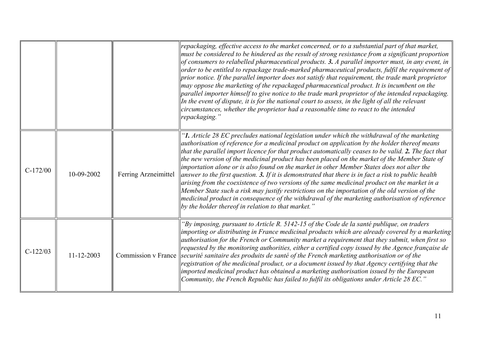|            |                  |                      | repackaging, effective access to the market concerned, or to a substantial part of that market,<br>must be considered to be hindered as the result of strong resistance from a significant proportion<br>$\vert$ of consumers to relabelled pharmaceutical products. 3. A parallel importer must, in any event, in<br>$\alpha$ order to be entitled to repackage trade-marked pharmaceutical products, fulfil the requirement of<br>$ prior\ $ notice. If the parallel importer does not satisfy that requirement, the trade mark proprietor<br>$\vert$ may oppose the marketing of the repackaged pharmaceutical product. It is incumbent on the<br>$\beta$ parallel importer himself to give notice to the trade mark proprietor of the intended repackaging.<br>In the event of dispute, it is for the national court to assess, in the light of all the relevant<br>circumstances, whether the proprietor had a reasonable time to react to the intended<br>repackaging."                         |
|------------|------------------|----------------------|-------------------------------------------------------------------------------------------------------------------------------------------------------------------------------------------------------------------------------------------------------------------------------------------------------------------------------------------------------------------------------------------------------------------------------------------------------------------------------------------------------------------------------------------------------------------------------------------------------------------------------------------------------------------------------------------------------------------------------------------------------------------------------------------------------------------------------------------------------------------------------------------------------------------------------------------------------------------------------------------------------|
| $C-172/00$ | 10-09-2002       | Ferring Arzneimittel | "1. Article 28 EC precludes national legislation under which the withdrawal of the marketing<br>authorisation of reference for a medicinal product on application by the holder thereof means<br>that the parallel import licence for that product automatically ceases to be valid. 2. The fact that<br>the new version of the medicinal product has been placed on the market of the Member State of<br>$\parallel$ importation alone or is also found on the market in other Member States does not alter the<br>answer to the first question. 3. If it is demonstrated that there is in fact a risk to public health<br>$\alpha$ arising from the coexistence of two versions of the same medicinal product on the market in a<br>Member State such a risk may justify restrictions on the importation of the old version of the<br>$ $ medicinal product in consequence of the withdrawal of the marketing authorisation of reference<br>$\ $ by the holder thereof in relation to that market." |
| $C-122/03$ | $11 - 12 - 2003$ | Commission v France  | "By imposing, pursuant to Article R. 5142-15 of the Code de la santé publique, on traders<br>importing or distributing in France medicinal products which are already covered by a marketing<br>authorisation for the French or Community market a requirement that they submit, when first so<br>requested by the monitoring authorities, either a certified copy issued by the Agence française de<br>securité sanitaire des produits de santé of the French marketing authorisation or of the<br>registration of the medicinal product, or a document issued by that Agency certifying that the<br>imported medicinal product has obtained a marketing authorisation issued by the European<br>Community, the French Republic has failed to fulfil its obligations under Article 28 EC.'                                                                                                                                                                                                           |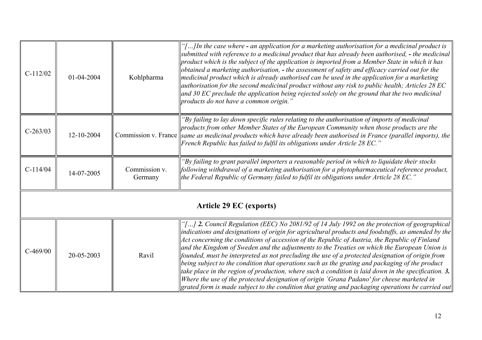| $C-112/02$                     | 01-04-2004 | Kohlpharma               | "[] In the case where - an application for a marketing authorisation for a medicinal product is<br>submitted with reference to a medicinal product that has already been authorised, $\text{-}$ the medicinal<br>product which is the subject of the application is imported from a Member State in which it has<br>$\alpha$ obtained a marketing authorisation, $\overline{\ }$ the assessment of safety and efficacy carried out for the<br>$\parallel$ medicinal product which is already authorised can be used in the application for a marketing<br>  authorisation for the second medicinal product without any risk to public health; Articles 28 EC<br>$ $ and 30 EC preclude the application being rejected solely on the ground that the two medicinal<br>products do not have a common origin."                                                                                                                                             |  |
|--------------------------------|------------|--------------------------|---------------------------------------------------------------------------------------------------------------------------------------------------------------------------------------------------------------------------------------------------------------------------------------------------------------------------------------------------------------------------------------------------------------------------------------------------------------------------------------------------------------------------------------------------------------------------------------------------------------------------------------------------------------------------------------------------------------------------------------------------------------------------------------------------------------------------------------------------------------------------------------------------------------------------------------------------------|--|
| $C-263/03$                     | 12-10-2004 |                          | "By failing to lay down specific rules relating to the authorisation of imports of medicinal<br>products from other Member States of the European Community when those products are the<br>Commission v. France same as medicinal products which have already been authorised in France (parallel imports), the<br>French Republic has failed to fulfil its obligations under Article 28 EC."                                                                                                                                                                                                                                                                                                                                                                                                                                                                                                                                                           |  |
| $C-114/04$                     | 14-07-2005 | Commission v.<br>Germany | "By failing to grant parallel importers a reasonable period in which to liquidate their stocks<br>$\left\ $ following withdrawal of a marketing authorisation for a phytopharmaceutical reference product,<br>the Federal Republic of Germany failed to fulfil its obligations under Article 28 EC.'                                                                                                                                                                                                                                                                                                                                                                                                                                                                                                                                                                                                                                                    |  |
| <b>Article 29 EC (exports)</b> |            |                          |                                                                                                                                                                                                                                                                                                                                                                                                                                                                                                                                                                                                                                                                                                                                                                                                                                                                                                                                                         |  |
| $C-469/00$                     | 20-05-2003 | Ravil                    | "[] 2. Council Regulation (EEC) No 2081/92 of 14 July 1992 on the protection of geographical<br>$\vert$ indications and designations of origin for agricultural products and foodstuffs, as amended by the<br>Act concerning the conditions of accession of the Republic of Austria, the Republic of Finland<br>and the Kingdom of Sweden and the adjustments to the Treaties on which the European Union is<br>founded, must be interpreted as not precluding the use of a protected designation of origin from<br>$\beta$ being subject to the condition that operations such as the grating and packaging of the product<br>take place in the region of production, where such a condition is laid down in the specification. 3.<br>Where the use of the protected designation of origin `Grana Padano' for cheese marketed in<br>$\left  \right $ grated form is made subject to the condition that grating and packaging operations be carried out |  |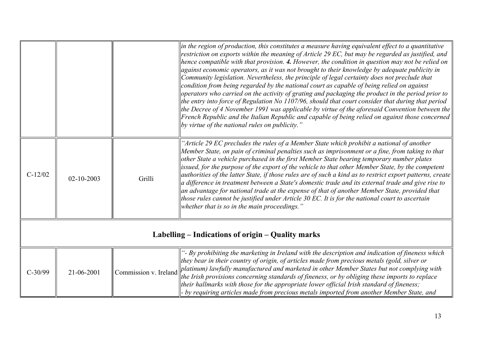|                                                   |                  |                       | in the region of production, this constitutes a measure having equivalent effect to a quantitative<br>restriction on exports within the meaning of Article 29 EC, but may be regarded as justified, and<br>hence compatible with that provision. 4. However, the condition in question may not be relied on<br>against economic operators, as it was not brought to their knowledge by adequate publicity in<br>Community legislation. Nevertheless, the principle of legal certainty does not preclude that<br>condition from being regarded by the national court as capable of being relied on against<br>operators who carried on the activity of grating and packaging the product in the period prior to<br>the entry into force of Regulation No 1107/96, should that court consider that during that period<br>the Decree of 4 November 1991 was applicable by virtue of the aforesaid Convention between the<br>[French Republic and the Italian Republic and capable of being relied on against those concerned<br>by virtue of the national rules on publicity.' |
|---------------------------------------------------|------------------|-----------------------|-----------------------------------------------------------------------------------------------------------------------------------------------------------------------------------------------------------------------------------------------------------------------------------------------------------------------------------------------------------------------------------------------------------------------------------------------------------------------------------------------------------------------------------------------------------------------------------------------------------------------------------------------------------------------------------------------------------------------------------------------------------------------------------------------------------------------------------------------------------------------------------------------------------------------------------------------------------------------------------------------------------------------------------------------------------------------------|
| $C-12/02$                                         | $02 - 10 - 2003$ | Grilli                | "Article 29 EC precludes the rules of a Member State which prohibit a national of another<br>Member State, on pain of criminal penalties such as imprisonment or a fine, from taking to that<br>other State a vehicle purchased in the first Member State bearing temporary number plates<br>issued, for the purpose of the export of the vehicle to that other Member State, by the competent<br>authorities of the latter State, if those rules are of such a kind as to restrict export patterns, create<br>a difference in treatment between a State's domestic trade and its external trade and give rise to<br>an advantage for national trade at the expense of that of another Member State, provided that<br>those rules cannot be justified under Article 30 EC. It is for the national court to ascertain<br>whether that is so in the main proceedings."                                                                                                                                                                                                        |
| Labelling – Indications of origin – Quality marks |                  |                       |                                                                                                                                                                                                                                                                                                                                                                                                                                                                                                                                                                                                                                                                                                                                                                                                                                                                                                                                                                                                                                                                             |
| $C-30/99$                                         | 21-06-2001       | Commission v. Ireland | "- By prohibiting the marketing in Ireland with the description and indication of fineness which<br>they bear in their country of origin, of articles made from precious metals (gold, silver or<br>platinum) lawfully manufactured and marketed in other Member States but not complying with<br>the Irish provisions concerning standards of fineness, or by obliging these imports to replace<br>their hallmarks with those for the appropriate lower official Irish standard of fineness;<br>- by requiring articles made from precious metals imported from another Member State, and                                                                                                                                                                                                                                                                                                                                                                                                                                                                                  |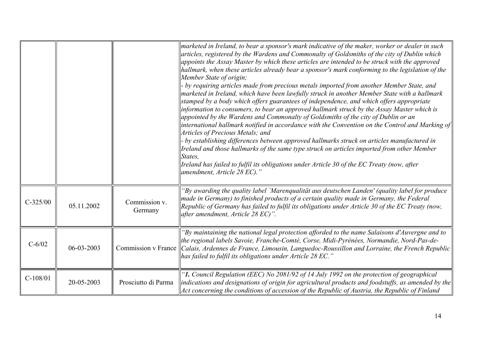|            |                  |                          | marketed in Ireland, to bear a sponsor's mark indicative of the maker, worker or dealer in such<br>articles, registered by the Wardens and Commonalty of Goldsmiths of the city of Dublin which<br>appoints the Assay Master by which these articles are intended to be struck with the approved<br>hallmark, when these articles already bear a sponsor's mark conforming to the legislation of the<br>Member State of origin;<br>- by requiring articles made from precious metals imported from another Member State, and<br>marketed in Ireland, which have been lawfully struck in another Member State with a hallmark<br>stamped by a body which offers guarantees of independence, and which offers appropriate<br>information to consumers, to bear an approved hallmark struck by the Assay Master which is<br>appointed by the Wardens and Commonalty of Goldsmiths of the city of Dublin or an<br>international hallmark notified in accordance with the Convention on the Control and Marking of<br>Articles of Precious Metals; and<br>- by establishing differences between approved hallmarks struck on articles manufactured in<br>Ireland and those hallmarks of the same type struck on articles imported from other Member<br>States.<br>Ireland has failed to fulfil its obligations under Article 30 of the EC Treaty (now, after<br>amendment, Article 28 EC)." |
|------------|------------------|--------------------------|----------------------------------------------------------------------------------------------------------------------------------------------------------------------------------------------------------------------------------------------------------------------------------------------------------------------------------------------------------------------------------------------------------------------------------------------------------------------------------------------------------------------------------------------------------------------------------------------------------------------------------------------------------------------------------------------------------------------------------------------------------------------------------------------------------------------------------------------------------------------------------------------------------------------------------------------------------------------------------------------------------------------------------------------------------------------------------------------------------------------------------------------------------------------------------------------------------------------------------------------------------------------------------------------------------------------------------------------------------------------------------------|
| $C-325/00$ | 05.11.2002       | Commission v.<br>Germany | "By awarding the quality label `Marenqualität aus deutschen Landen' (quality label for produce<br>made in Germany) to finished products of a certain quality made in Germany, the Federal<br>Republic of Germany has failed to fulfil its obligations under Article 30 of the EC Treaty (now,<br>after amendment, Article 28 EC)".                                                                                                                                                                                                                                                                                                                                                                                                                                                                                                                                                                                                                                                                                                                                                                                                                                                                                                                                                                                                                                                     |
| $C - 6/02$ | $06 - 03 - 2003$ | Commission v France      | "By maintaining the national legal protection afforded to the name Salaisons d'Auvergne and to<br>the regional labels Savoie, Franche-Comté, Corse, Midi-Pyrénées, Normandie, Nord-Pas-de-<br>$ Calais$ , Ardennes de France, Limousin, Languedoc-Roussillon and Lorraine, the French Republic<br>has failed to fulfil its obligations under Article 28 EC."                                                                                                                                                                                                                                                                                                                                                                                                                                                                                                                                                                                                                                                                                                                                                                                                                                                                                                                                                                                                                           |
| $C-108/01$ | 20-05-2003       | Prosciutto di Parma      | "1. Council Regulation (EEC) No 2081/92 of 14 July 1992 on the protection of geographical<br>indications and designations of origin for agricultural products and foodstuffs, as amended by the<br>Act concerning the conditions of accession of the Republic of Austria, the Republic of Finland                                                                                                                                                                                                                                                                                                                                                                                                                                                                                                                                                                                                                                                                                                                                                                                                                                                                                                                                                                                                                                                                                      |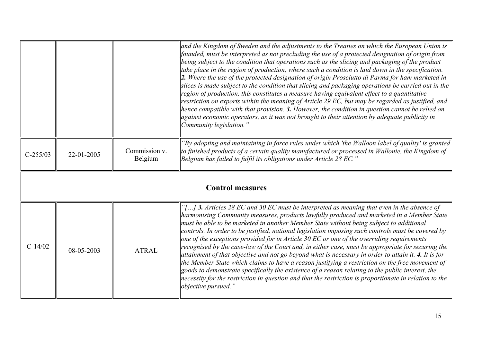|                         |            |                          | $\parallel$ and the Kingdom of Sweden and the adjustments to the Treaties on which the European Union is<br>$\parallel$ founded, must be interpreted as not precluding the use of a protected designation of origin from<br>$\beta$ being subject to the condition that operations such as the slicing and packaging of the product<br>$\parallel$ take place in the region of production, where such a condition is laid down in the specification.<br>$\ 2$ . Where the use of the protected designation of origin Prosciutto di Parma for ham marketed in<br>slices is made subject to the condition that slicing and packaging operations be carried out in the<br>$\parallel$ region of production, this constitutes a measure having equivalent effect to a quantitative<br>restriction on exports within the meaning of Article 29 EC, but may be regarded as justified, and<br>$\parallel$ hence compatible with that provision. 3. However, the condition in question cannot be relied on<br>$\alpha$ against economic operators, as it was not brought to their attention by adequate publicity in<br>Community legislation." |  |
|-------------------------|------------|--------------------------|-----------------------------------------------------------------------------------------------------------------------------------------------------------------------------------------------------------------------------------------------------------------------------------------------------------------------------------------------------------------------------------------------------------------------------------------------------------------------------------------------------------------------------------------------------------------------------------------------------------------------------------------------------------------------------------------------------------------------------------------------------------------------------------------------------------------------------------------------------------------------------------------------------------------------------------------------------------------------------------------------------------------------------------------------------------------------------------------------------------------------------------------|--|
| $C-255/03$              | 22-01-2005 | Commission v.<br>Belgium | 'By adopting and maintaining in force rules under which 'the Walloon label of quality' is granted<br>$\parallel$ to finished products of a certain quality manufactured or processed in Wallonie, the Kingdom of<br> Belgium has failed to fulfil its obligations under Article 28 EC."                                                                                                                                                                                                                                                                                                                                                                                                                                                                                                                                                                                                                                                                                                                                                                                                                                                 |  |
| <b>Control measures</b> |            |                          |                                                                                                                                                                                                                                                                                                                                                                                                                                                                                                                                                                                                                                                                                                                                                                                                                                                                                                                                                                                                                                                                                                                                         |  |
| $C-14/02$               | 08-05-2003 | <b>ATRAL</b>             | "[] 3. Articles 28 EC and 30 EC must be interpreted as meaning that even in the absence of<br>harmonising Community measures, products lawfully produced and marketed in a Member State<br>must be able to be marketed in another Member State without being subject to additional<br>$\ $ controls. In order to be justified, national legislation imposing such controls must be covered by<br>$\parallel$ one of the exceptions provided for in Article 30 EC or one of the overriding requirements<br>recognised by the case-law of the Court and, in either case, must be appropriate for securing the<br>$\parallel$ attainment of that objective and not go beyond what is necessary in order to attain it. 4. It is for<br>the Member State which claims to have a reason justifying a restriction on the free movement of<br>$\parallel$ goods to demonstrate specifically the existence of a reason relating to the public interest, the<br>$\parallel$ necessity for the restriction in question and that the restriction is proportionate in relation to the<br>objective pursued."                                         |  |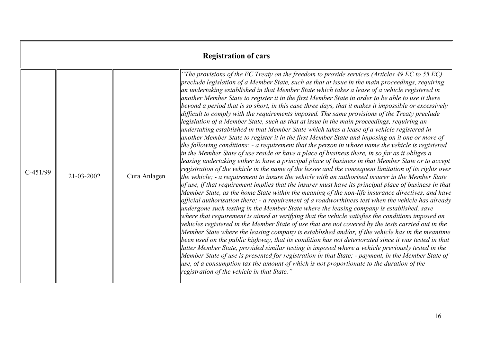| <b>Registration of cars</b> |            |              |                                                                                                                                                                                                                                                                                                                                                                                                                                                                                                                                                                                                                                                                                                                                                                                                                                                                                                                                                                                                                                                                                                                                                                                                                                                                                                                                                                                                                                                                                                                                                                                                                                                                                                                                                                                                                                                                                                                                                                                                                                                                                                                                                                                                                                                                                                                                                                                                                                                                                                                                                                                                                                                          |
|-----------------------------|------------|--------------|----------------------------------------------------------------------------------------------------------------------------------------------------------------------------------------------------------------------------------------------------------------------------------------------------------------------------------------------------------------------------------------------------------------------------------------------------------------------------------------------------------------------------------------------------------------------------------------------------------------------------------------------------------------------------------------------------------------------------------------------------------------------------------------------------------------------------------------------------------------------------------------------------------------------------------------------------------------------------------------------------------------------------------------------------------------------------------------------------------------------------------------------------------------------------------------------------------------------------------------------------------------------------------------------------------------------------------------------------------------------------------------------------------------------------------------------------------------------------------------------------------------------------------------------------------------------------------------------------------------------------------------------------------------------------------------------------------------------------------------------------------------------------------------------------------------------------------------------------------------------------------------------------------------------------------------------------------------------------------------------------------------------------------------------------------------------------------------------------------------------------------------------------------------------------------------------------------------------------------------------------------------------------------------------------------------------------------------------------------------------------------------------------------------------------------------------------------------------------------------------------------------------------------------------------------------------------------------------------------------------------------------------------------|
| $C-451/99$                  | 21-03-2002 | Cura Anlagen | "The provisions of the EC Treaty on the freedom to provide services (Articles 49 EC to 55 EC)<br>preclude legislation of a Member State, such as that at issue in the main proceedings, requiring<br>an undertaking established in that Member State which takes a lease of a vehicle registered in<br>another Member State to register it in the first Member State in order to be able to use it there<br>beyond a period that is so short, in this case three days, that it makes it impossible or excessively<br>difficult to comply with the requirements imposed. The same provisions of the Treaty preclude<br>legislation of a Member State, such as that at issue in the main proceedings, requiring an<br>undertaking established in that Member State which takes a lease of a vehicle registered in<br>another Member State to register it in the first Member State and imposing on it one or more of<br>the following conditions: $-$ a requirement that the person in whose name the vehicle is registered<br>in the Member State of use reside or have a place of business there, in so far as it obliges a<br>leasing undertaking either to have a principal place of business in that Member State or to accept<br>registration of the vehicle in the name of the lessee and the consequent limitation of its rights over<br>the vehicle; $-$ a requirement to insure the vehicle with an authorised insurer in the Member State<br>$ of$ use, if that requirement implies that the insurer must have its principal place of business in that<br>Member State, as the home State within the meaning of the non-life insurance directives, and have<br>official authorisation there; - a requirement of a roadworthiness test when the vehicle has already<br>undergone such testing in the Member State where the leasing company is established, save<br>where that requirement is aimed at verifying that the vehicle satisfies the conditions imposed on<br>vehicles registered in the Member State of use that are not covered by the tests carried out in the<br>Member State where the leasing company is established and/or, if the vehicle has in the meantime<br>been used on the public highway, that its condition has not deteriorated since it was tested in that<br>latter Member State, provided similar testing is imposed where a vehicle previously tested in the<br>Member State of use is presented for registration in that State; - payment, in the Member State of<br> use, of a consumption tax the amount of which is not proportionate to the duration of the<br>registration of the vehicle in that State." |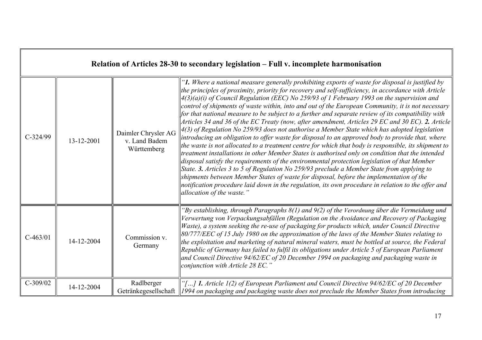|            | Relation of Articles 28-30 to secondary legislation – Full v. incomplete harmonisation |                                                     |                                                                                                                                                                                                                                                                                                                                                                                                                                                                                                                                                                                                                                                                                                                                                                                                                                                                                                                                                                                                                                                                                                                                                                                                                                                                                                                                                                                                                                                                    |  |
|------------|----------------------------------------------------------------------------------------|-----------------------------------------------------|--------------------------------------------------------------------------------------------------------------------------------------------------------------------------------------------------------------------------------------------------------------------------------------------------------------------------------------------------------------------------------------------------------------------------------------------------------------------------------------------------------------------------------------------------------------------------------------------------------------------------------------------------------------------------------------------------------------------------------------------------------------------------------------------------------------------------------------------------------------------------------------------------------------------------------------------------------------------------------------------------------------------------------------------------------------------------------------------------------------------------------------------------------------------------------------------------------------------------------------------------------------------------------------------------------------------------------------------------------------------------------------------------------------------------------------------------------------------|--|
| $C-324/99$ | 13-12-2001                                                                             | Daimler Chrysler AG<br>v. Land Badem<br>Württemberg | "1. Where a national measure generally prohibiting exports of waste for disposal is justified by<br>the principles of proximity, priority for recovery and self-sufficiency, in accordance with Article<br>$4(3)(a)(i)$ of Council Regulation (EEC) No 259/93 of 1 February 1993 on the supervision and<br>control of shipments of waste within, into and out of the European Community, it is not necessary<br>for that national measure to be subject to a further and separate review of its compatibility with<br>Articles 34 and 36 of the EC Treaty (now, after amendment, Articles 29 EC and 30 EC). 2. Article<br>4(3) of Regulation No 259/93 does not authorise a Member State which has adopted legislation<br>introducing an obligation to offer waste for disposal to an approved body to provide that, where<br>the waste is not allocated to a treatment centre for which that body is responsible, its shipment to<br>treatment installations in other Member States is authorised only on condition that the intended<br>disposal satisfy the requirements of the environmental protection legislation of that Member<br>State. 3. Articles 3 to 5 of Regulation No 259/93 preclude a Member State from applying to<br>shipments between Member States of waste for disposal, before the implementation of the<br>notification procedure laid down in the regulation, its own procedure in relation to the offer and<br>allocation of the waste." |  |
| $C-463/01$ | 14-12-2004                                                                             | Commission v.<br>Germany                            | "By establishing, through Paragraphs 8(1) and 9(2) of the Verordnung über die Vermeidung und<br>Verwertung von Verpackungsabfällen (Regulation on the Avoidance and Recovery of Packaging<br>Waste), a system seeking the re-use of packaging for products which, under Council Directive<br>80/777/EEC of 15 July 1980 on the approximation of the laws of the Member States relating to<br>the exploitation and marketing of natural mineral waters, must be bottled at source, the Federal<br>Republic of Germany has failed to fulfil its obligations under Article 5 of European Parliament<br>and Council Directive 94/62/EC of 20 December 1994 on packaging and packaging waste in<br>conjunction with Article 28 EC.'                                                                                                                                                                                                                                                                                                                                                                                                                                                                                                                                                                                                                                                                                                                                     |  |
| $C-309/02$ | 14-12-2004                                                                             | Radlberger<br>Getränkegesellschaft                  | "[] 1. Article 1(2) of European Parliament and Council Directive 94/62/EC of 20 December<br>$\parallel$ 1994 on packaging and packaging waste does not preclude the Member States from introducing                                                                                                                                                                                                                                                                                                                                                                                                                                                                                                                                                                                                                                                                                                                                                                                                                                                                                                                                                                                                                                                                                                                                                                                                                                                                 |  |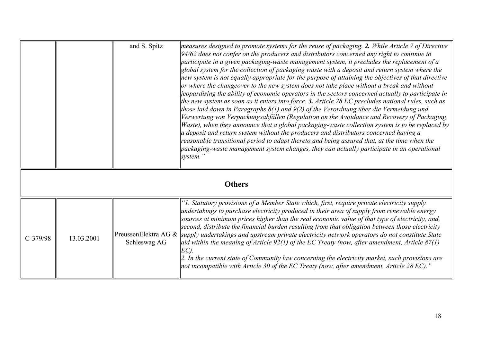|               |            | and S. Spitz                         | measures designed to promote systems for the reuse of packaging. 2. While Article 7 of Directive<br>94/62 does not confer on the producers and distributors concerned any right to continue to<br>participate in a given packaging-waste management system, it precludes the replacement of a<br>global system for the collection of packaging waste with a deposit and return system where the<br>new system is not equally appropriate for the purpose of attaining the objectives of that directive<br>or where the changeover to the new system does not take place without a break and without<br>jeopardising the ability of economic operators in the sectors concerned actually to participate in<br>the new system as soon as it enters into force. 3. Article $28$ EC precludes national rules, such as<br>those laid down in Paragraphs $8(1)$ and $9(2)$ of the Verordnung über die Vermeidung und<br>Verwertung von Verpackungsabfällen (Regulation on the Avoidance and Recovery of Packaging<br>Waste), when they announce that a global packaging-waste collection system is to be replaced by<br>a deposit and return system without the producers and distributors concerned having a<br>reasonable transitional period to adapt thereto and being assured that, at the time when the<br>packaging-waste management system changes, they can actually participate in an operational<br>system.' |
|---------------|------------|--------------------------------------|-------------------------------------------------------------------------------------------------------------------------------------------------------------------------------------------------------------------------------------------------------------------------------------------------------------------------------------------------------------------------------------------------------------------------------------------------------------------------------------------------------------------------------------------------------------------------------------------------------------------------------------------------------------------------------------------------------------------------------------------------------------------------------------------------------------------------------------------------------------------------------------------------------------------------------------------------------------------------------------------------------------------------------------------------------------------------------------------------------------------------------------------------------------------------------------------------------------------------------------------------------------------------------------------------------------------------------------------------------------------------------------------------------------------|
| <b>Others</b> |            |                                      |                                                                                                                                                                                                                                                                                                                                                                                                                                                                                                                                                                                                                                                                                                                                                                                                                                                                                                                                                                                                                                                                                                                                                                                                                                                                                                                                                                                                                   |
| $C-379/98$    | 13.03.2001 | PreussenElektra AG &<br>Schleswag AG | "I. Statutory provisions of a Member State which, first, require private electricity supply<br>undertakings to purchase electricity produced in their area of supply from renewable energy<br>sources at minimum prices higher than the real economic value of that type of electricity, and,<br>second, distribute the financial burden resulting from that obligation between those electricity<br>supply undertakings and upstream private electricity network operators do not constitute State<br>aid within the meaning of Article 92(1) of the EC Treaty (now, after amendment, Article 87(1)<br>$EC$ ).<br>2. In the current state of Community law concerning the electricity market, such provisions are<br>not incompatible with Article 30 of the EC Treaty (now, after amendment, Article 28 EC)."                                                                                                                                                                                                                                                                                                                                                                                                                                                                                                                                                                                                   |